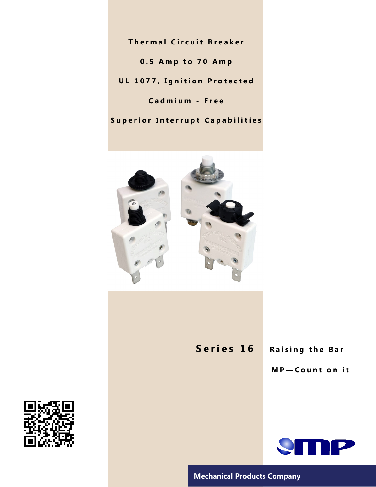**Thermal Circuit Breaker 0 . 5 A m p t o 7 0 A m p UL 1077, Ignition Protected C a d m i u m - F r e e**

**Superior Interrupt Capabilities** 



**Series 16** Raising the Bar

**M P — C o u n t o n i t**



**Mechanical Products Company**

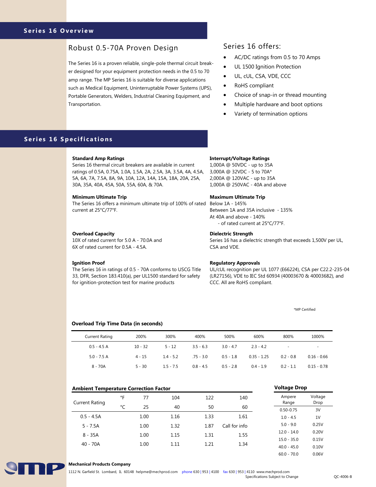### Series 16 Overview

# Robust 0.5-70A Proven Design Series 16 offers:

The Series 16 is a proven reliable, single-pole thermal circuit breaker designed for your equipment protection needs in the 0.5 to 70 amp range. The MP Series 16 is suitable for diverse applications such as Medical Equipment, Uninterruptable Power Systems (UPS), Portable Generators, Welders, Industrial Cleaning Equipment, and Transportation.

- AC/DC ratings from 0.5 to 70 Amps
- UL 1500 Ignition Protection
- UL, cUL, CSA, VDE, CCC
- RoHS compliant
- Choice of snap-in or thread mounting
- Multiple hardware and boot options
- Variety of termination options

## **Series 16 Specifications**

#### **Standard Amp Ratings**

Series 16 thermal circuit breakers are available in current ratings of 0.5A, 0.75A, 1.0A, 1.5A, 2A, 2.5A, 3A, 3.5A, 4A, 4.5A, 5A, 6A, 7A, 7.5A, 8A, 9A, 10A, 12A, 14A, 15A, 18A, 20A, 25A, 30A, 35A, 40A, 45A, 50A, 55A, 60A, & 70A.

#### **Minimum Ultimate Trip**

The Series 16 offers a minimum ultimate trip of 100% of rated Below 1A - 145% current at 25°C/77°F.

#### **Overload Capacity**

10X of rated current for 5.0 A - 70.0A and 6X of rated current for 0.5A - 4.5A.

#### **Ignition Proof**

The Series 16 in ratings of 0.5 - 70A conforms to USCG Title 33, DFR, Section 183.410(a), per UL1500 standard for safety for ignition-protection test for marine products

#### **Interrupt/Voltage Ratings**

1,000A @ 50VDC - up to 35A 3,000A @ 32VDC - 5 to 70A\* 2,000A @ 120VAC - up to 35A 1,000A @ 250VAC - 40A and above

#### **Maximum Ultimate Trip**

Between 1A and 35A inclusive - 135% At 40A and above - 140% - of rated current at 25°C/77°F.

#### **Dielectric Strength**

Series 16 has a dielectric strength that exceeds 1,500V per UL, CSA and VDE.

#### **Regulatory Approvals**

UL/cUL recognition per UL 1077 (E66224), CSA per C22.2-235-04 (LR27156), VDE to IEC Std 60934 (40003670 & 40003682), and CCC. All are RoHS compliant.

\*MP Certified

#### **Overload Trip Time Data (in seconds)**

| <b>Current Rating</b> | 200%      | 300%        | 400%        | 500%        | 600%          | 800%                     | 1000%                    |
|-----------------------|-----------|-------------|-------------|-------------|---------------|--------------------------|--------------------------|
| $0.5 - 4.5 A$         | $10 - 32$ | $5 - 12$    | $3.5 - 6.3$ | $3.0 - 4.7$ | $2.3 - 4.2$   | $\overline{\phantom{a}}$ | $\overline{\phantom{a}}$ |
| $5.0 - 7.5$ A         | $4 - 15$  | $1.4 - 5.2$ | $.75 - 3.0$ | $0.5 - 1.8$ | $0.35 - 1.25$ | $0.2 - 0.8$              | $0.16 - 0.66$            |
| $8 - 70A$             | $5 - 30$  | $1.5 - 7.5$ | $0.8 - 4.5$ | $0.5 - 2.8$ | $0.4 - 1.9$   | $0.2 - 1.1$              | $0.15 - 0.78$            |

#### **Ambient Temperature Correction Factor**

| <b>Current Rating</b> | °F | 77   | 104  | 122  | 140           |
|-----------------------|----|------|------|------|---------------|
|                       | °C | 25   | 40   | 50   | 60            |
| $0.5 - 4.5A$          |    | 1.00 | 1.16 | 1.33 | 1.61          |
| $5 - 7.5A$            |    | 1.00 | 1.32 | 1.87 | Call for info |
| $8 - 35A$             |    | 1.00 | 1.15 | 1.31 | 1.55          |
| $40 - 70A$            |    | 1.00 | 1.11 | 1.21 | 1.34          |

| Ampere<br>Range | Voltage<br>Drop |
|-----------------|-----------------|
| $0.50 - 0.75$   | 3V              |
| $1.0 - 4.5$     | 1V              |
| $5.0 - 9.0$     | 0.25V           |
| $12.0 - 14.0$   | 0.20V           |
| $15.0 - 35.0$   | 0.15V           |
| $40.0 - 45.0$   | 0.10V           |

60.0 - 70.0 0.06V

**Voltage Drop**



#### **Mechanical Products Company**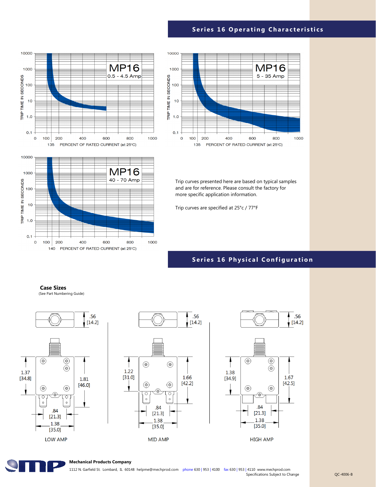# **Series 16 Operating Characteristics**



**MP16** 

40 - 70 Amp

800

1000



Trip curves presented here are based on typical samples and are for reference. Please consult the factory for more specific application information.

Trip curves are specified at 25°c / 77°F

### **Series 16 Physical Configuration**

**Case Sizes**

 $140$ 

1000

100

 $10$ 

 $1.0$ 

 $0.1$  $\overline{O}$ 100 200

TRIP TIME IN SECONDS

(See Part Numbering Guide)

400

600

PERCENT OF RATED CURRENT (at 25°C)









#### **Mechanical Products Company**

1112 N. Garfield St. Lombard, IL 60148 helpme@mechprod.com phone 630 | 953 | 4100 fax 630 | 953 | 4110 www.mechprod.com Specifications Subject to Change CC-4006-B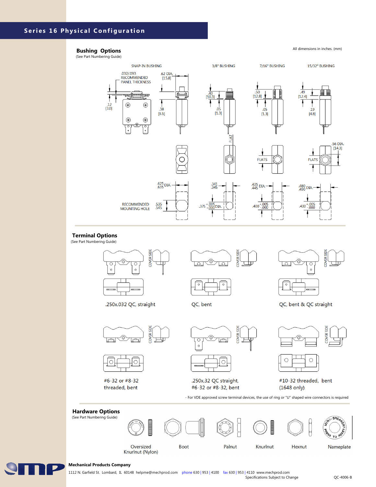# **Series 16 Physical Configuration**

### **Bushing Options**

#### All dimensions in inches. (mm)

(See Part Numbering Guide)



(See Part Numbering Guide)





#6-32 or #8-32 threaded, bent



.250x.32 QC straight, #6-32 or #8-32, bent

- For VDE approved screw terminal devices, the use of ring or "U" shaped wire connectors is required

#10-32 threaded, bent

 $(1648$  only)





#### **Mechanical Products Company**

1112 N. Garfield St. Lombard, IL 60148 helpme@mechprod.com phone 630 | 953 | 4100 fax 630 | 953 | 4110 www.mechprod.com Specifications Subject to Change **CO-4006-B**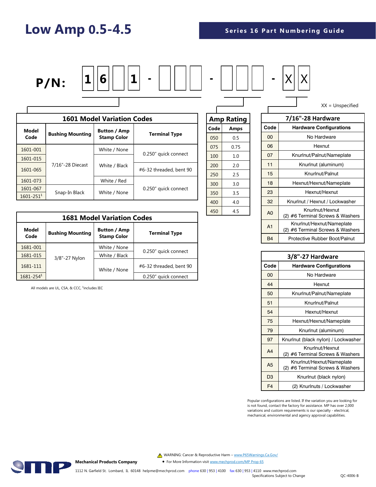# **Low Amp 0.5-4.5**

ſ



| <b>1601 Model Variation Codes</b> |                         |                                           |                         |  |
|-----------------------------------|-------------------------|-------------------------------------------|-------------------------|--|
| <b>Model</b><br>Code              | <b>Bushing Mounting</b> | <b>Button / Amp</b><br><b>Stamp Color</b> | <b>Terminal Type</b>    |  |
| 1601-001                          |                         | White / None                              | 0.250" quick connect    |  |
| 1601-015                          |                         |                                           |                         |  |
| 1601-065                          | 7/16"-28 Diecast        | White / Black                             | #6-32 threaded, bent 90 |  |
| 1601-073                          |                         | White / Red                               |                         |  |
| 1601-067                          |                         |                                           | 0.250" quick connect    |  |
| $1601 - 251$ <sup>1</sup>         | Snap-In Black           | White / None                              |                         |  |

|      | <b>Amp Rating</b> |
|------|-------------------|
| Code | Amps              |
| 050  | 0.5               |
| 075  | 0.75              |
| 100  | 1.0               |
| 200  | 2.0               |
| 250  | 2.5               |
| 300  | 3.0               |
| 350  | 3.5               |
| 400  | 4.0               |
| 450  | 4.5               |

|                | 7/16"-28 Hardware                                             |
|----------------|---------------------------------------------------------------|
| Code           | <b>Hardware Configurations</b>                                |
| 00             | No Hardware                                                   |
| 06             | Hexnut                                                        |
| 07             | Knurlnut/Palnut/Nameplate                                     |
| 11             | Knurlnut (aluminum)                                           |
| 15             | Knurlnut/Palnut                                               |
| 18             | Hexnut/Hexnut/Nameplate                                       |
| 23             | Hexnut/Hexnut                                                 |
| 32             | Knurlnut / Hexnut / Lockwasher                                |
| A <sub>0</sub> | Knurlnut/Hexnut<br>(2) #6 Terminal Screws & Washers           |
| A <sub>1</sub> | Knurlnut/Hexnut/Nameplate<br>(2) #6 Terminal Screws & Washers |
| <b>B4</b>      | Protective Rubber Boot/Palnut                                 |

XX = Unspecified

| 3/8"-27 Hardware |                                                               |  |
|------------------|---------------------------------------------------------------|--|
| Code             | <b>Hardware Configurations</b>                                |  |
| 00               | No Hardware                                                   |  |
| 44               | Hexnut                                                        |  |
| 50               | Knurlnut/Palnut/Nameplate                                     |  |
| 51               | Knurlnut/Palnut                                               |  |
| 54               | Hexnut/Hexnut                                                 |  |
| 75               | Hexnut/Hexnut/Nameplate                                       |  |
| 79               | Knurlnut (aluminum)                                           |  |
| 97               | Knurlnut (black nylon) / Lockwasher                           |  |
| A <sub>4</sub>   | Knurlnut/Hexnut<br>(2) #6 Terminal Screws & Washers           |  |
| A <sub>5</sub>   | Knurlnut/Hexnut/Nameplate<br>(2) #6 Terminal Screws & Washers |  |
| D <sub>3</sub>   | Knurlnut (black nylon)                                        |  |
| F <sub>4</sub>   | (2) Knurlnuts / Lockwasher                                    |  |

Popular configurations are listed. If the variation you are looking for is not found, contact the factory for assistance. MP has over 2,000 variations and custom requirements is our specialty - electrical, mechanical, environmental and agency approval capabilities.

**1681 Model Variation Codes Model Code Bushing Mounting Button / Amp Terminal Type** 1681-001 3/8"-27 Nylon White / None 0.250" quick connect 1681-015 | <sub>2/8"</sub> 27 Nylon White / Black 1681-111 **Archarged 1681-111 Example 1681-111 #6-32 threaded, bent 90** White / None 1681-254<sup>1</sup> 20.250" quick connect

All models are UL, CSA, & CCC,  $^1$ includes IEC



• For More Information visit [www.mechprod.com/MP Prop 65](https://www.mechprod.com/hubfs/Technical/MP%20Prop65%20Brief.pdf)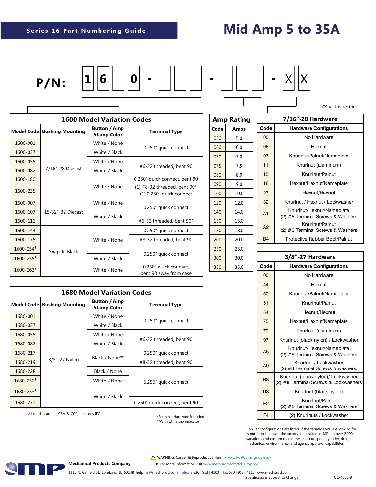# **Mid Amp 5 to 35A**







XX = Unspecified

|                           | <b>1600 Model Variation Codes</b> |                         |                                           |                                                            |  |
|---------------------------|-----------------------------------|-------------------------|-------------------------------------------|------------------------------------------------------------|--|
| Model Code                |                                   | <b>Bushing Mounting</b> | <b>Button / Amp</b><br><b>Stamp Color</b> | <b>Terminal Type</b>                                       |  |
| 1600-001                  |                                   |                         | White / None                              |                                                            |  |
| 1600-037                  |                                   |                         | White / Black                             | 0.250" quick connect                                       |  |
| 1600-055                  |                                   |                         | White / None                              | #6-32 threaded, bent 90                                    |  |
| 1600-082                  |                                   | 7/16"-28 Diecast        | White / Black                             |                                                            |  |
| 1600-180                  |                                   |                         | White / None                              | 0.250" quick connect, bent 90                              |  |
| 1600-235                  |                                   |                         |                                           | $(1)$ #8-32 threaded, bent 90*<br>(1) 0.250" quick connect |  |
| 1600-007                  |                                   |                         | White / None                              |                                                            |  |
| 1600-107                  |                                   | 15/32"-32 Diecast       | White / Black                             | 0.250" quick connect                                       |  |
| 1600-111                  |                                   |                         |                                           | #6-32 threaded, bent 90*                                   |  |
| 1600-144                  |                                   |                         |                                           | 0.250" quick connect                                       |  |
| 1600-175                  |                                   |                         | White / None                              | #8-32 threaded, bent 90                                    |  |
| $1600 - 254$ <sup>1</sup> |                                   | Snap-In Black           |                                           |                                                            |  |
| $1600 - 2551$             |                                   |                         | White / Black                             | 0.250" quick connect                                       |  |
| $1600 - 2631$             |                                   |                         | White / None                              | 0.250" quick connect,<br>bent 90 away from case            |  |

| <b>1680 Model Variation Codes</b> |                         |                                           |                               |  |
|-----------------------------------|-------------------------|-------------------------------------------|-------------------------------|--|
| Model Code                        | <b>Bushing Mounting</b> | <b>Button / Amp</b><br><b>Stamp Color</b> | <b>Terminal Type</b>          |  |
| 1680-001                          |                         | White / None                              |                               |  |
| 1680-037                          |                         | White / Black                             | 0.250" quick connect          |  |
| 1680-055                          |                         | White / None                              |                               |  |
| 1680-082                          |                         | White / Black                             | #6-32 threaded, bent 90       |  |
| 1680-217                          |                         |                                           | 0.250" quick connect          |  |
| 1680-219                          | 3/8"-27 Nylon           | Black / None**                            | #8-32 threaded, bent 90       |  |
| 1680-228                          |                         | Black / None                              |                               |  |
| $1680 - 2521$                     |                         | White / None                              | 0.250" quick connect          |  |
| $1680 - 2531$                     |                         |                                           |                               |  |
| 1680-271                          |                         | White / Black                             | 0.250" quick connect, bent 90 |  |

All models are UL, CSA, & CCC, <sup>1</sup>includes IEC

\*Terminal Hardware Included \*\*With white trip indicator

| <b>Amp Rating</b> |      |  |  |
|-------------------|------|--|--|
| Code              | Amps |  |  |
| 050               | 5.0  |  |  |
| 060               | 6.0  |  |  |
| 070               | 7.0  |  |  |
| 075               | 7.5  |  |  |
| 080               | 8.0  |  |  |
| 090               | 9.0  |  |  |
| 100               | 10.0 |  |  |
| 120               | 12.0 |  |  |
| 140               | 14.0 |  |  |
| 150               | 15.0 |  |  |
| 180               | 18.0 |  |  |
| 200               | 20.0 |  |  |
| 250               | 25.0 |  |  |
| 300               | 30.0 |  |  |
| 350               | 35.0 |  |  |

|                | 7/16"-28 Hardware                                             |
|----------------|---------------------------------------------------------------|
| Code           | <b>Hardware Configurations</b>                                |
| 00             | No Hardware                                                   |
| 06             | Hexnut                                                        |
| 07             | Knurlnut/Palnut/Nameplate                                     |
| 11             | Knurlnut (aluminum)                                           |
| 15             | Knurlnut/Palnut                                               |
| 18             | Hexnut/Hexnut/Nameplate                                       |
| 23             | Hexnut/Hexnut                                                 |
| 32             | Knurlnut / Hexnut / Lockwasher                                |
| A <sub>1</sub> | Knurlnut/Hexnut/Nameplate<br>(2) #6 Terminal Screws & Washers |
| A2             | Knurlnut/Palnut<br>(2) #6 Terminal Screws & Washers           |
| <b>B4</b>      | Protective Rubber Boot/Palnut                                 |

| 3/8"-27 Hardware |                                                                            |  |
|------------------|----------------------------------------------------------------------------|--|
| Code             | <b>Hardware Configurations</b>                                             |  |
| 00               | No Hardware                                                                |  |
| 44               | Hexnut                                                                     |  |
| 50               | Knurlnut/Palnut/Nameplate                                                  |  |
| 51               | Knurlnut/Palnut                                                            |  |
| 54               | Hexnut/Hexnut                                                              |  |
| 75               | Hexnut/Hexnut/Nameplate                                                    |  |
| 79               | Knurlnut (aluminum)                                                        |  |
| 97               | Knurlnut (black nylon) / Lockwasher                                        |  |
| A <sub>5</sub>   | Knurlnut/Hexnut/Nameplate<br>(2) #6 Terminal Screws & Washers              |  |
| A <sub>9</sub>   | Knurlnut / Lockwasher<br>(2) #8 Terminal Screws & washers.                 |  |
| B <sub>8</sub>   | Knurlnut (black nylon)/ Lockwasher<br>(2) #8 Terminal Screws & Lockwashers |  |
| D <sub>3</sub>   | Knurlnut (black nylon)                                                     |  |
| E2               | Knurlnut/Palnut<br>(2) #6 Terminal Screws & Washers                        |  |
| F <sub>4</sub>   | (2) Knurlnuts / Lockwasher                                                 |  |

Popular configurations are listed. If the variation you are looking for is not found, contact the factory for assistance. MP has over 2,000 variations and custom requirements is our specialty - electrical, mechanical, environmental and agency approval capabilities.

A WARNING: Cancer & Reproductive Harm - [www.P65Warnings.Ca.Gov/](http://www.P65Warnings.Ca.Gov)

• For More Information visit [www.mechprod.com/MP Prop 65](https://www.mechprod.com/hubfs/Technical/MP%20Prop65%20Brief.pdf)